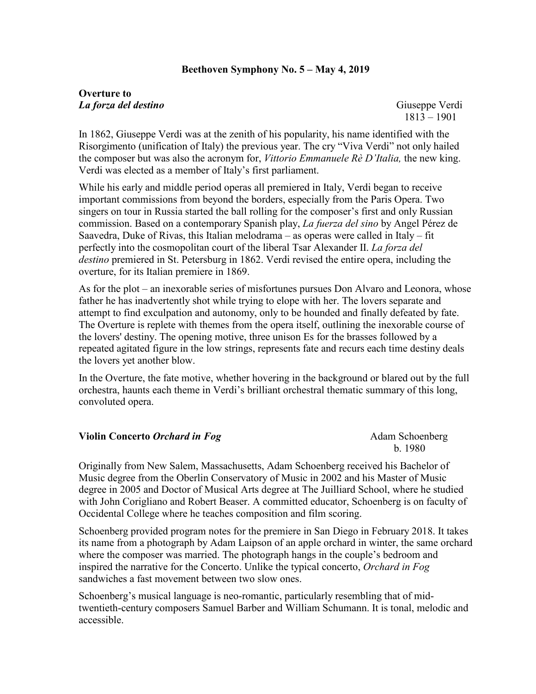## **Beethoven Symphony No. 5 – May 4, 2019**

## **Overture to** *La forza del destino* Giuseppe Verdi

1813 – 1901

In 1862, Giuseppe Verdi was at the zenith of his popularity, his name identified with the Risorgimento (unification of Italy) the previous year. The cry "Viva Verdi" not only hailed the composer but was also the acronym for, *Vittorio Emmanuele Rè D'Italia,* the new king. Verdi was elected as a member of Italy's first parliament.

While his early and middle period operas all premiered in Italy, Verdi began to receive important commissions from beyond the borders, especially from the Paris Opera. Two singers on tour in Russia started the ball rolling for the composer's first and only Russian commission. Based on a contemporary Spanish play, *La fuerza del sino* by Angel Pérez de Saavedra, Duke of Rivas, this Italian melodrama – as operas were called in Italy – fit perfectly into the cosmopolitan court of the liberal Tsar Alexander II. *La forza del destino* premiered in St. Petersburg in 1862. Verdi revised the entire opera, including the overture, for its Italian premiere in 1869.

As for the plot – an inexorable series of misfortunes pursues Don Alvaro and Leonora, whose father he has inadvertently shot while trying to elope with her. The lovers separate and attempt to find exculpation and autonomy, only to be hounded and finally defeated by fate. The Overture is replete with themes from the opera itself, outlining the inexorable course of the lovers' destiny. The opening motive, three unison Es for the brasses followed by a repeated agitated figure in the low strings, represents fate and recurs each time destiny deals the lovers yet another blow.

In the Overture, the fate motive, whether hovering in the background or blared out by the full orchestra, haunts each theme in Verdi's brilliant orchestral thematic summary of this long, convoluted opera.

## **Violin Concerto** *Orchard in Fog* Adam Schoenberg

b. 1980

Originally from New Salem, Massachusetts, Adam Schoenberg received his Bachelor of Music degree from the Oberlin Conservatory of Music in 2002 and his Master of Music degree in 2005 and Doctor of Musical Arts degree at The Juilliard School, where he studied with John Corigliano and Robert Beaser. A committed educator, Schoenberg is on faculty of Occidental College where he teaches composition and film scoring.

Schoenberg provided program notes for the premiere in San Diego in February 2018. It takes its name from a photograph by Adam Laipson of an apple orchard in winter, the same orchard where the composer was married. The photograph hangs in the couple's bedroom and inspired the narrative for the Concerto. Unlike the typical concerto, *Orchard in Fog* sandwiches a fast movement between two slow ones.

Schoenberg's musical language is neo-romantic, particularly resembling that of midtwentieth-century composers Samuel Barber and William Schumann. It is tonal, melodic and accessible.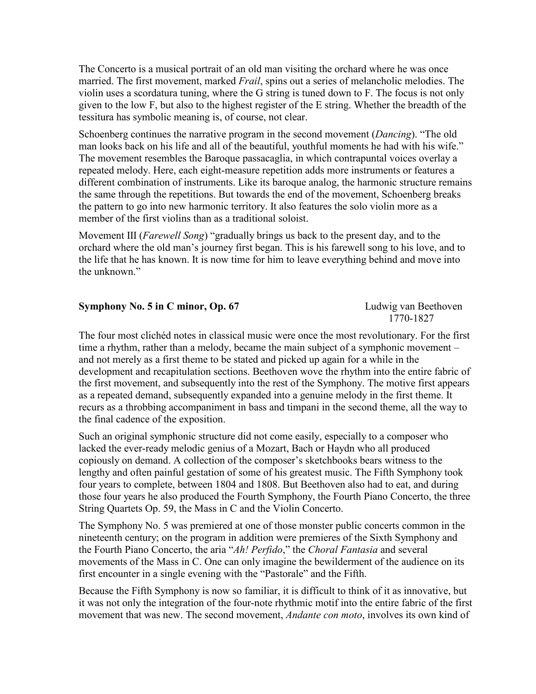The Concerto is a musical portrait of an old man visiting the orchard where he was once married. The first movement, marked *Frail*, spins out a series of melancholic melodies. The violin uses a scordatura tuning, where the G string is tuned down to F. The focus is not only given to the low F, but also to the highest register of the E string. Whether the breadth of the tessitura has symbolic meaning is, of course, not clear.

Schoenberg continues the narrative program in the second movement (*Dancing*). "The old man looks back on his life and all of the beautiful, youthful moments he had with his wife." The movement resembles the Baroque passacaglia, in which contrapuntal voices overlay a repeated melody. Here, each eight-measure repetition adds more instruments or features a different combination of instruments. Like its baroque analog, the harmonic structure remains the same through the repetitions. But towards the end of the movement, Schoenberg breaks the pattern to go into new harmonic territory. It also features the solo violin more as a member of the first violins than as a traditional soloist.

Movement III (*Farewell Song*) "gradually brings us back to the present day, and to the orchard where the old man's journey first began. This is his farewell song to his love, and to the life that he has known. It is now time for him to leave everything behind and move into the unknown."

| Symphony No. 5 in C minor, Op. 67 | Ludwig van Beethoven |
|-----------------------------------|----------------------|
|                                   | 1770-1827            |

The four most clichéd notes in classical music were once the most revolutionary. For the first time a rhythm, rather than a melody, became the main subject of a symphonic movement – and not merely as a first theme to be stated and picked up again for a while in the development and recapitulation sections. Beethoven wove the rhythm into the entire fabric of the first movement, and subsequently into the rest of the Symphony. The motive first appears as a repeated demand, subsequently expanded into a genuine melody in the first theme. It recurs as a throbbing accompaniment in bass and timpani in the second theme, all the way to the final cadence of the exposition.

Such an original symphonic structure did not come easily, especially to a composer who lacked the ever-ready melodic genius of a Mozart, Bach or Haydn who all produced copiously on demand. A collection of the composer's sketchbooks bears witness to the lengthy and often painful gestation of some of his greatest music. The Fifth Symphony took four years to complete, between 1804 and 1808. But Beethoven also had to eat, and during those four years he also produced the Fourth Symphony, the Fourth Piano Concerto, the three String Quartets Op. 59, the Mass in C and the Violin Concerto.

The Symphony No. 5 was premiered at one of those monster public concerts common in the nineteenth century; on the program in addition were premieres of the Sixth Symphony and the Fourth Piano Concerto, the aria "*Ah! Perfido*," the *Choral Fantasia* and several movements of the Mass in C. One can only imagine the bewilderment of the audience on its first encounter in a single evening with the "Pastorale" and the Fifth.

Because the Fifth Symphony is now so familiar, it is difficult to think of it as innovative, but it was not only the integration of the four-note rhythmic motif into the entire fabric of the first movement that was new. The second movement, *Andante con moto*, involves its own kind of